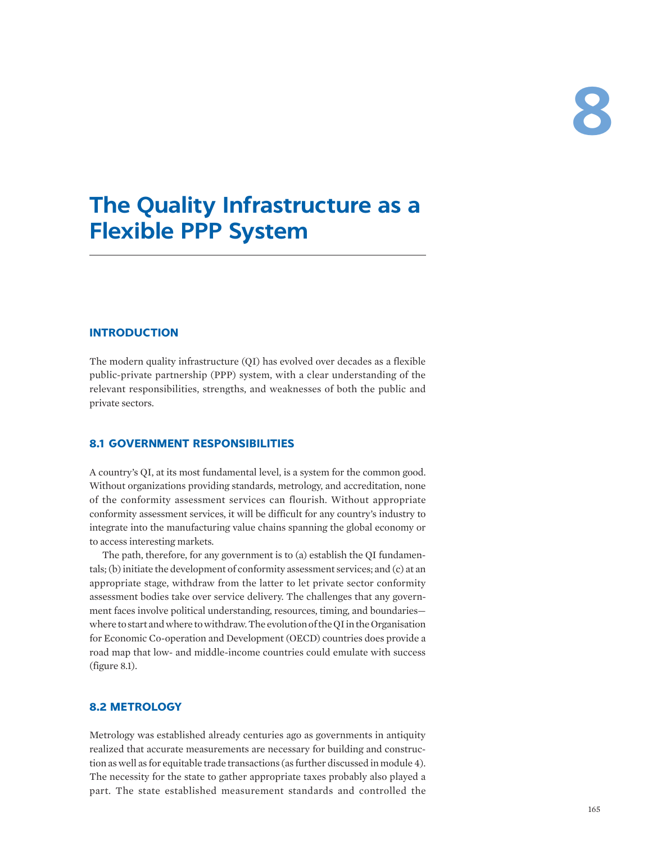# **The Quality Infrastructure as a Flexible PPP System**

# **INTRODUCTION**

The modern quality infrastructure (QI) has evolved over decades as a flexible public-private partnership (PPP) system, with a clear understanding of the relevant responsibilities, strengths, and weaknesses of both the public and private sectors.

## **8.1 GOVERNMENT RESPONSIBILITIES**

A country's QI, at its most fundamental level, is a system for the common good. Without organizations providing standards, metrology, and accreditation, none of the conformity assessment services can flourish. Without appropriate conformity assessment services, it will be difficult for any country's industry to integrate into the manufacturing value chains spanning the global economy or to access interesting markets.

The path, therefore, for any government is to (a) establish the QI fundamentals; (b) initiate the development of conformity assessment services; and (c) at an appropriate stage, withdraw from the latter to let private sector conformity assessment bodies take over service delivery. The challenges that any government faces involve political understanding, resources, timing, and boundaries where to start and where to withdraw. The evolution of the QI in the Organisation for Economic Co-operation and Development (OECD) countries does provide a road map that low- and middle-income countries could emulate with success (figure 8.1).

# **8.2 METROLOGY**

Metrology was established already centuries ago as governments in antiquity realized that accurate measurements are necessary for building and construction as well as for equitable trade transactions (as further discussed in module 4). The necessity for the state to gather appropriate taxes probably also played a part. The state established measurement standards and controlled the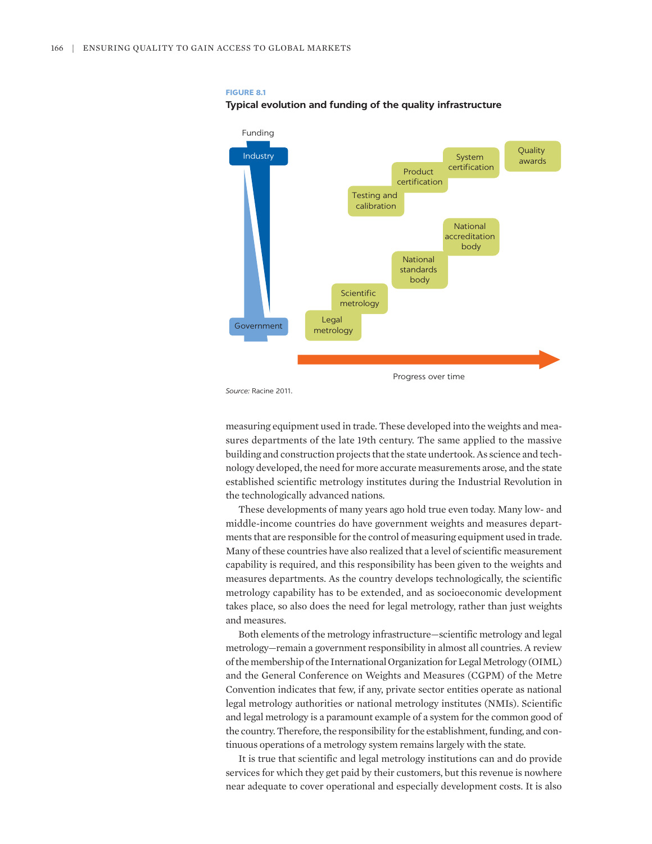#### **FIGURE 8.1**

#### **Typical evolution and funding of the quality infrastructure**



*Source:* Racine 2011.

measuring equipment used in trade. These developed into the weights and measures departments of the late 19th century. The same applied to the massive building and construction projects that the state undertook. As science and technology developed, the need for more accurate measurements arose, and the state established scientific metrology institutes during the Industrial Revolution in the technologically advanced nations.

These developments of many years ago hold true even today. Many low- and middle-income countries do have government weights and measures departments that are responsible for the control of measuring equipment used in trade. Many of these countries have also realized that a level of scientific measurement capability is required, and this responsibility has been given to the weights and measures departments. As the country develops technologically, the scientific metrology capability has to be extended, and as socioeconomic development takes place, so also does the need for legal metrology, rather than just weights and measures.

Both elements of the metrology infrastructure—scientific metrology and legal metrology—remain a government responsibility in almost all countries. A review of the membership of the International Organization for Legal Metrology (OIML) and the General Conference on Weights and Measures (CGPM) of the Metre Convention indicates that few, if any, private sector entities operate as national legal metrology authorities or national metrology institutes (NMIs). Scientific and legal metrology is a paramount example of a system for the common good of the country. Therefore, the responsibility for the establishment, funding, and continuous operations of a metrology system remains largely with the state.

It is true that scientific and legal metrology institutions can and do provide services for which they get paid by their customers, but this revenue is nowhere near adequate to cover operational and especially development costs. It is also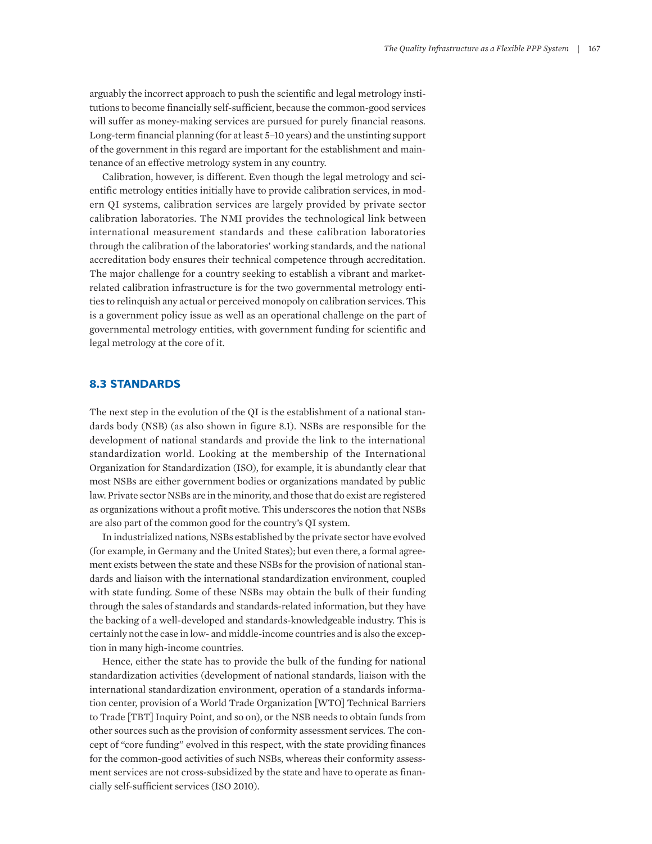arguably the incorrect approach to push the scientific and legal metrology institutions to become financially self-sufficient, because the common-good services will suffer as money-making services are pursued for purely financial reasons. Long-term financial planning (for at least 5–10 years) and the unstinting support of the government in this regard are important for the establishment and maintenance of an effective metrology system in any country.

Calibration, however, is different. Even though the legal metrology and scientific metrology entities initially have to provide calibration services, in modern QI systems, calibration services are largely provided by private sector calibration laboratories. The NMI provides the technological link between international measurement standards and these calibration laboratories through the calibration of the laboratories' working standards, and the national accreditation body ensures their technical competence through accreditation. The major challenge for a country seeking to establish a vibrant and marketrelated calibration infrastructure is for the two governmental metrology entities to relinquish any actual or perceived monopoly on calibration services. This is a government policy issue as well as an operational challenge on the part of governmental metrology entities, with government funding for scientific and legal metrology at the core of it.

### **8.3 STANDARDS**

The next step in the evolution of the QI is the establishment of a national standards body (NSB) (as also shown in figure 8.1). NSBs are responsible for the development of national standards and provide the link to the international standardization world. Looking at the membership of the International Organization for Standardization (ISO), for example, it is abundantly clear that most NSBs are either government bodies or organizations mandated by public law. Private sector NSBs are in the minority, and those that do exist are registered as organizations without a profit motive. This underscores the notion that NSBs are also part of the common good for the country's QI system.

In industrialized nations, NSBs established by the private sector have evolved (for example, in Germany and the United States); but even there, a formal agreement exists between the state and these NSBs for the provision of national standards and liaison with the international standardization environment, coupled with state funding. Some of these NSBs may obtain the bulk of their funding through the sales of standards and standards-related information, but they have the backing of a well-developed and standards-knowledgeable industry. This is certainly not the case in low- and middle-income countries and is also the exception in many high-income countries.

Hence, either the state has to provide the bulk of the funding for national standardization activities (development of national standards, liaison with the international standardization environment, operation of a standards information center, provision of a World Trade Organization [WTO] Technical Barriers to Trade [TBT] Inquiry Point, and so on), or the NSB needs to obtain funds from other sources such as the provision of conformity assessment services. The concept of "core funding" evolved in this respect, with the state providing finances for the common-good activities of such NSBs, whereas their conformity assessment services are not cross-subsidized by the state and have to operate as financially self-sufficient services (ISO 2010).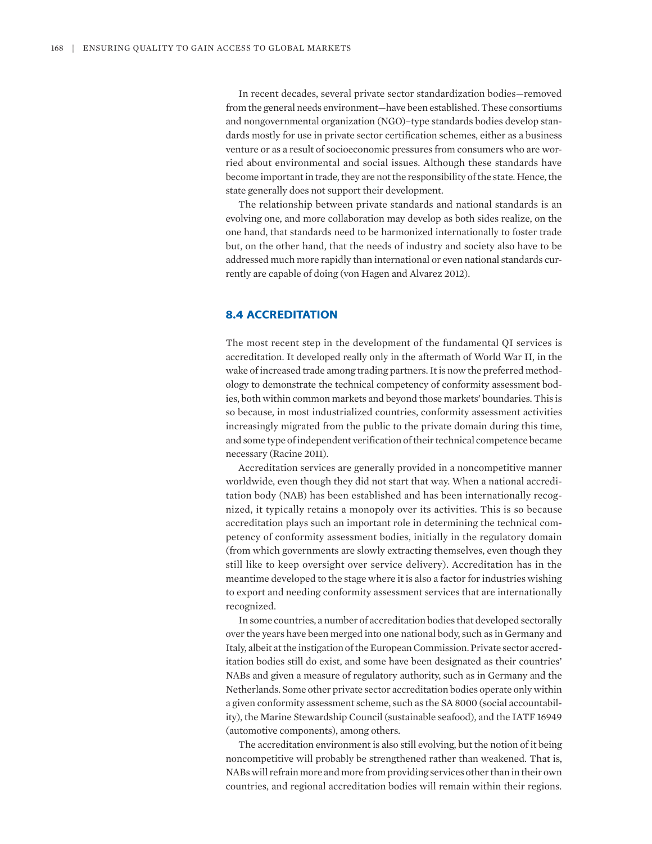In recent decades, several private sector standardization bodies—removed from the general needs environment—have been established. These consortiums and nongovernmental organization (NGO)–type standards bodies develop standards mostly for use in private sector certification schemes, either as a business venture or as a result of socioeconomic pressures from consumers who are worried about environmental and social issues. Although these standards have become important in trade, they are not the responsibility of the state. Hence, the state generally does not support their development.

The relationship between private standards and national standards is an evolving one, and more collaboration may develop as both sides realize, on the one hand, that standards need to be harmonized internationally to foster trade but, on the other hand, that the needs of industry and society also have to be addressed much more rapidly than international or even national standards currently are capable of doing (von Hagen and Alvarez 2012).

# **8.4 ACCREDITATION**

The most recent step in the development of the fundamental QI services is accreditation. It developed really only in the aftermath of World War II, in the wake of increased trade among trading partners. It is now the preferred methodology to demonstrate the technical competency of conformity assessment bodies, both within common markets and beyond those markets' boundaries. This is so because, in most industrialized countries, conformity assessment activities increasingly migrated from the public to the private domain during this time, and some type of independent verification of their technical competence became necessary (Racine 2011).

Accreditation services are generally provided in a noncompetitive manner worldwide, even though they did not start that way. When a national accreditation body (NAB) has been established and has been internationally recognized, it typically retains a monopoly over its activities. This is so because accreditation plays such an important role in determining the technical competency of conformity assessment bodies, initially in the regulatory domain (from which governments are slowly extracting themselves, even though they still like to keep oversight over service delivery). Accreditation has in the meantime developed to the stage where it is also a factor for industries wishing to export and needing conformity assessment services that are internationally recognized.

In some countries, a number of accreditation bodies that developed sectorally over the years have been merged into one national body, such as in Germany and Italy, albeit at the instigation of the European Commission. Private sector accreditation bodies still do exist, and some have been designated as their countries' NABs and given a measure of regulatory authority, such as in Germany and the Netherlands. Some other private sector accreditation bodies operate only within a given conformity assessment scheme, such as the SA 8000 (social accountability), the Marine Stewardship Council (sustainable seafood), and the IATF 16949 (automotive components), among others.

The accreditation environment is also still evolving, but the notion of it being noncompetitive will probably be strengthened rather than weakened. That is, NABs will refrain more and more from providing services other than in their own countries, and regional accreditation bodies will remain within their regions.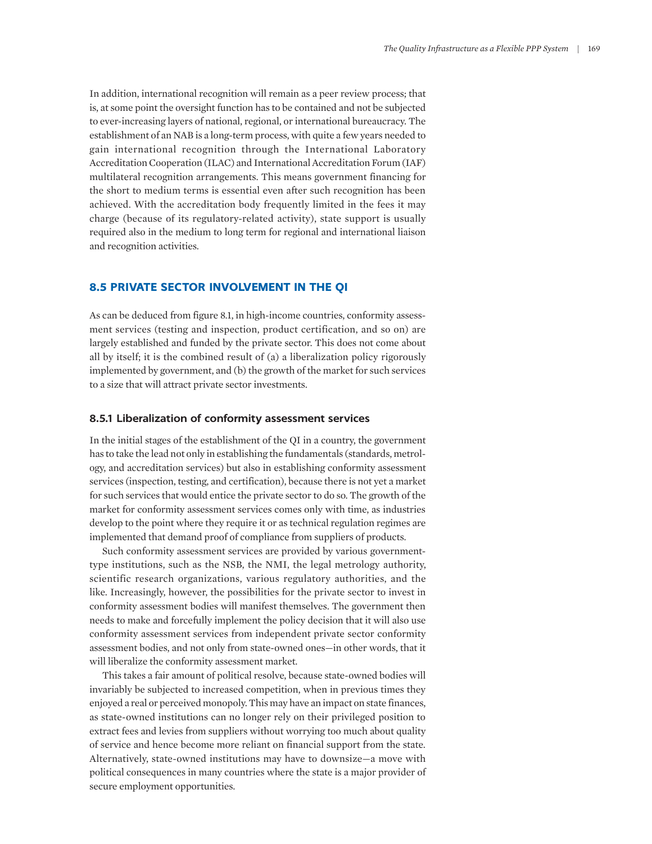In addition, international recognition will remain as a peer review process; that is, at some point the oversight function has to be contained and not be subjected to ever-increasing layers of national, regional, or international bureaucracy. The establishment of an NAB is a long-term process, with quite a few years needed to gain international recognition through the International Laboratory Accreditation Cooperation (ILAC) and International Accreditation Forum (IAF) multilateral recognition arrangements. This means government financing for the short to medium terms is essential even after such recognition has been achieved. With the accreditation body frequently limited in the fees it may charge (because of its regulatory-related activity), state support is usually required also in the medium to long term for regional and international liaison and recognition activities.

## **8.5 PRIVATE SECTOR INVOLVEMENT IN THE QI**

As can be deduced from figure 8.1, in high-income countries, conformity assessment services (testing and inspection, product certification, and so on) are largely established and funded by the private sector. This does not come about all by itself; it is the combined result of (a) a liberalization policy rigorously implemented by government, and (b) the growth of the market for such services to a size that will attract private sector investments.

### **8.5.1 Liberalization of conformity assessment services**

In the initial stages of the establishment of the QI in a country, the government has to take the lead not only in establishing the fundamentals (standards, metrology, and accreditation services) but also in establishing conformity assessment services (inspection, testing, and certification), because there is not yet a market for such services that would entice the private sector to do so. The growth of the market for conformity assessment services comes only with time, as industries develop to the point where they require it or as technical regulation regimes are implemented that demand proof of compliance from suppliers of products.

Such conformity assessment services are provided by various governmenttype institutions, such as the NSB, the NMI, the legal metrology authority, scientific research organizations, various regulatory authorities, and the like. Increasingly, however, the possibilities for the private sector to invest in conformity assessment bodies will manifest themselves. The government then needs to make and forcefully implement the policy decision that it will also use conformity assessment services from independent private sector conformity assessment bodies, and not only from state-owned ones—in other words, that it will liberalize the conformity assessment market.

This takes a fair amount of political resolve, because state-owned bodies will invariably be subjected to increased competition, when in previous times they enjoyed a real or perceived monopoly. This may have an impact on state finances, as state-owned institutions can no longer rely on their privileged position to extract fees and levies from suppliers without worrying too much about quality of service and hence become more reliant on financial support from the state. Alternatively, state-owned institutions may have to downsize—a move with political consequences in many countries where the state is a major provider of secure employment opportunities.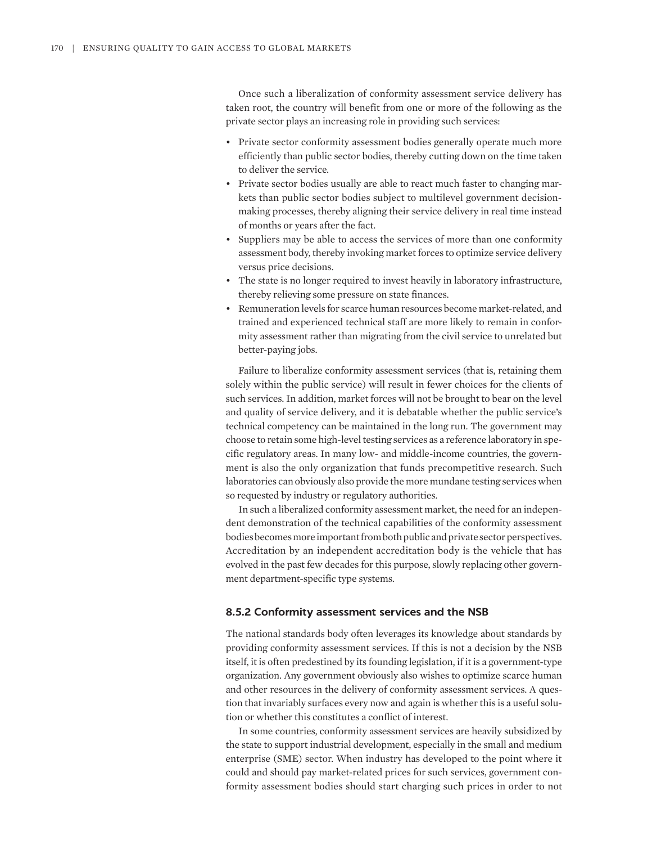Once such a liberalization of conformity assessment service delivery has taken root, the country will benefit from one or more of the following as the private sector plays an increasing role in providing such services:

- Private sector conformity assessment bodies generally operate much more efficiently than public sector bodies, thereby cutting down on the time taken to deliver the service.
- Private sector bodies usually are able to react much faster to changing markets than public sector bodies subject to multilevel government decisionmaking processes, thereby aligning their service delivery in real time instead of months or years after the fact.
- Suppliers may be able to access the services of more than one conformity assessment body, thereby invoking market forces to optimize service delivery versus price decisions.
- The state is no longer required to invest heavily in laboratory infrastructure, thereby relieving some pressure on state finances.
- Remuneration levels for scarce human resources become market-related, and trained and experienced technical staff are more likely to remain in conformity assessment rather than migrating from the civil service to unrelated but better-paying jobs.

Failure to liberalize conformity assessment services (that is, retaining them solely within the public service) will result in fewer choices for the clients of such services. In addition, market forces will not be brought to bear on the level and quality of service delivery, and it is debatable whether the public service's technical competency can be maintained in the long run. The government may choose to retain some high-level testing services as a reference laboratory in specific regulatory areas. In many low- and middle-income countries, the government is also the only organization that funds precompetitive research. Such laboratories can obviously also provide the more mundane testing services when so requested by industry or regulatory authorities.

In such a liberalized conformity assessment market, the need for an independent demonstration of the technical capabilities of the conformity assessment bodies becomes more important from both public and private sector perspectives. Accreditation by an independent accreditation body is the vehicle that has evolved in the past few decades for this purpose, slowly replacing other government department-specific type systems.

#### **8.5.2 Conformity assessment services and the NSB**

The national standards body often leverages its knowledge about standards by providing conformity assessment services. If this is not a decision by the NSB itself, it is often predestined by its founding legislation, if it is a government-type organization. Any government obviously also wishes to optimize scarce human and other resources in the delivery of conformity assessment services. A question that invariably surfaces every now and again is whether this is a useful solution or whether this constitutes a conflict of interest.

In some countries, conformity assessment services are heavily subsidized by the state to support industrial development, especially in the small and medium enterprise (SME) sector. When industry has developed to the point where it could and should pay market-related prices for such services, government conformity assessment bodies should start charging such prices in order to not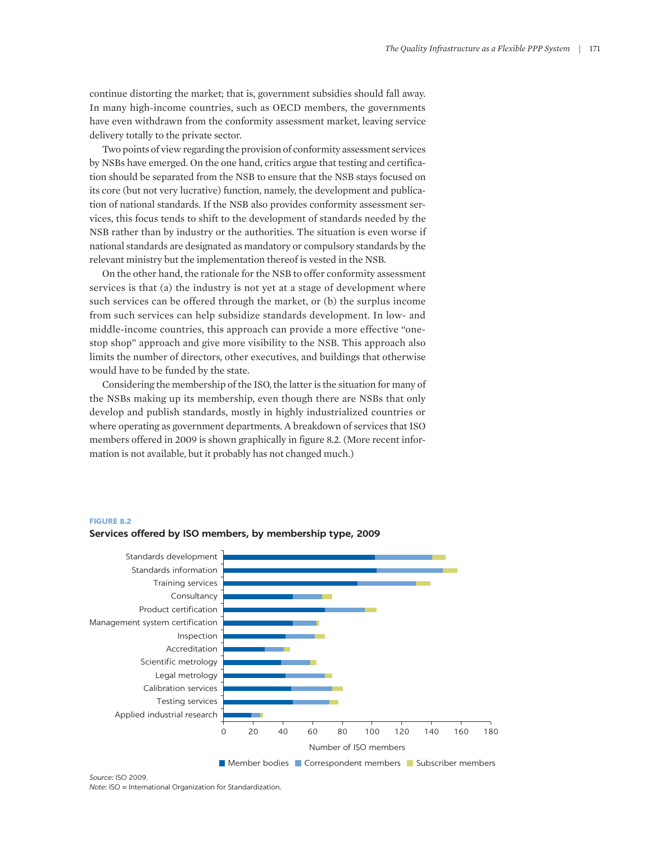continue distorting the market; that is, government subsidies should fall away. In many high-income countries, such as OECD members, the governments have even withdrawn from the conformity assessment market, leaving service delivery totally to the private sector.

Two points of view regarding the provision of conformity assessment services by NSBs have emerged. On the one hand, critics argue that testing and certification should be separated from the NSB to ensure that the NSB stays focused on its core (but not very lucrative) function, namely, the development and publication of national standards. If the NSB also provides conformity assessment services, this focus tends to shift to the development of standards needed by the NSB rather than by industry or the authorities. The situation is even worse if national standards are designated as mandatory or compulsory standards by the relevant ministry but the implementation thereof is vested in the NSB.

On the other hand, the rationale for the NSB to offer conformity assessment services is that (a) the industry is not yet at a stage of development where such services can be offered through the market, or (b) the surplus income from such services can help subsidize standards development. In low- and middle-income countries, this approach can provide a more effective "onestop shop" approach and give more visibility to the NSB. This approach also limits the number of directors, other executives, and buildings that otherwise would have to be funded by the state.

Considering the membership of the ISO, the latter is the situation for many of the NSBs making up its membership, even though there are NSBs that only develop and publish standards, mostly in highly industrialized countries or where operating as government departments. A breakdown of services that ISO members offered in 2009 is shown graphically in figure 8.2. (More recent information is not available, but it probably has not changed much.)

### **FIGURE 8.2**



**Services offered by ISO members, by membership type, 2009**

*Source:* ISO 2009. *Note:* ISO = International Organization for Standardization.